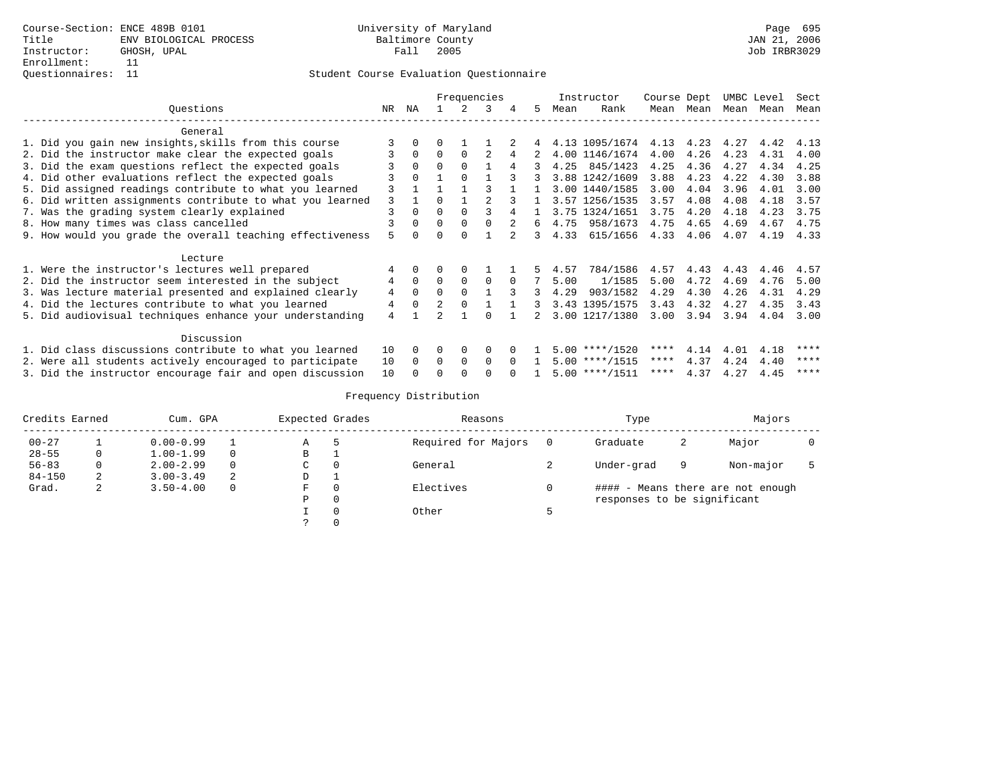# Student Course Evaluation Questionnaire

|                                                           |    |          |          |          | Frequencies    |          |              |      | Instructor                         | Course Dept |             |           | UMBC Level | Sect |
|-----------------------------------------------------------|----|----------|----------|----------|----------------|----------|--------------|------|------------------------------------|-------------|-------------|-----------|------------|------|
| Questions                                                 | NR | ΝA       |          |          | 3              | 4        | .5           | Mean | Rank                               |             | Mean Mean   | Mean Mean |            | Mean |
| General                                                   |    |          |          |          |                |          |              |      |                                    |             |             |           |            |      |
| 1. Did you gain new insights, skills from this course     |    |          |          |          |                |          |              |      | 4.13 1095/1674 4.13 4.23 4.27 4.42 |             |             |           |            | 4.13 |
| 2. Did the instructor make clear the expected goals       |    | $\Omega$ | $\Omega$ | $\Omega$ | $\mathfrak{D}$ |          |              |      | 4.00 1146/1674                     | 4.00        | 4.26        | 4.23      | 4.31       | 4.00 |
| 3. Did the exam questions reflect the expected goals      |    | $\Omega$ | $\Omega$ |          |                | 4        | 3            |      | 4.25 845/1423                      | 4.25        | 4.36        | 4.27      | 4.34       | 4.25 |
| 4. Did other evaluations reflect the expected goals       |    | $\Omega$ |          | $\Omega$ |                |          |              |      | 3.88 1242/1609                     | 3.88        | 4.23        | 4.22      | 4.30       | 3.88 |
| 5. Did assigned readings contribute to what you learned   |    |          |          |          |                |          | $\mathbf{1}$ |      | 3.00 1440/1585                     | 3.00        | 4.04        | 3.96      | 4.01       | 3.00 |
| 6. Did written assignments contribute to what you learned | 3  |          | $\Omega$ |          |                |          |              |      | 3.57 1256/1535                     | 3.57        | 4.08        | 4.08      | 4.18       | 3.57 |
| 7. Was the grading system clearly explained               |    | $\Omega$ | $\Omega$ |          |                |          | $\mathbf{1}$ |      | 3.75 1324/1651                     | 3.75        | 4.20        | 4.18      | 4.23       | 3.75 |
| 8. How many times was class cancelled                     |    | $\Omega$ | $\Omega$ |          |                | 2        | б.           | 4.75 | 958/1673                           | 4.75        | 4.65        | 4.69      | 4.67       | 4.75 |
| 9. How would you grade the overall teaching effectiveness |    |          |          |          |                |          | 3            | 4.33 | 615/1656                           |             | 4.33 4.06   | 4.07      | 4.19       | 4.33 |
| Lecture                                                   |    |          |          |          |                |          |              |      |                                    |             |             |           |            |      |
| 1. Were the instructor's lectures well prepared           |    |          |          |          |                |          |              | 4.57 | 784/1586                           | 4.57        | 4.43        | 4.43      | 4.46       | 4.57 |
| 2. Did the instructor seem interested in the subject      | 4  | $\Omega$ | $\Omega$ | 0        | $\Omega$       | $\Omega$ |              | 5.00 | 1/1585                             | 5.00        | 4.72        | 4.69      | 4.76       | 5.00 |
| 3. Was lecture material presented and explained clearly   | 4  | $\Omega$ | $\Omega$ |          |                | २        | 3            | 4.29 | 903/1582                           | 4.29        | 4.30        | 4.26      | 4.31       | 4.29 |
| 4. Did the lectures contribute to what you learned        | 4  | $\Omega$ | 2        | $\Omega$ |                |          | 3            |      | 3.43 1395/1575                     | 3.43        | 4.32        | 4.27      | 4.35       | 3.43 |
| 5. Did audiovisual techniques enhance your understanding  | 4  |          |          |          |                |          | $2^{\circ}$  |      | 3.00 1217/1380                     | 3.00        | 3.94        | 3.94      | 4.04       | 3.00 |
| Discussion                                                |    |          |          |          |                |          |              |      |                                    |             |             |           |            |      |
| 1. Did class discussions contribute to what you learned   | 10 | $\Omega$ | $\Omega$ | 0        | $\Omega$       |          |              |      | $5.00$ ****/1520                   | ****        | 4.14        | 4.01      | 4.18       | **** |
| 2. Were all students actively encouraged to participate   | 10 | $\Omega$ | $\Omega$ | $\Omega$ | $\Omega$       | $\cap$   |              |      | $5.00$ ****/1515                   | ****        | 4.37        | 4.24      | 4.40       | **** |
| 3. Did the instructor encourage fair and open discussion  | 10 |          |          |          |                |          |              |      | $5.00$ ****/1511                   |             | **** $4.37$ | 4.27      | 4.45       | **** |

# Frequency Distribution

| Credits Earned |   | Cum. GPA      | Expected Grades | Reasons | Type                |                             |   |                                   |  |
|----------------|---|---------------|-----------------|---------|---------------------|-----------------------------|---|-----------------------------------|--|
| $00 - 27$      |   | $0.00 - 0.99$ |                 | Α       | Required for Majors | Graduate                    | 2 | Major                             |  |
| $28 - 55$      | 0 | $1.00 - 1.99$ | $\Omega$        | B       |                     |                             |   |                                   |  |
| $56 - 83$      |   | $2.00 - 2.99$ | $\Omega$        | C       | General             | Under-grad                  | 9 | Non-major                         |  |
| $84 - 150$     | 2 | $3.00 - 3.49$ | 2               | D       |                     |                             |   |                                   |  |
| Grad.          | ∠ | $3.50 - 4.00$ | 0               | F       | Electives           |                             |   | #### - Means there are not enough |  |
|                |   |               |                 | D       |                     | responses to be significant |   |                                   |  |
|                |   |               |                 |         | Other               |                             |   |                                   |  |
|                |   |               |                 |         |                     |                             |   |                                   |  |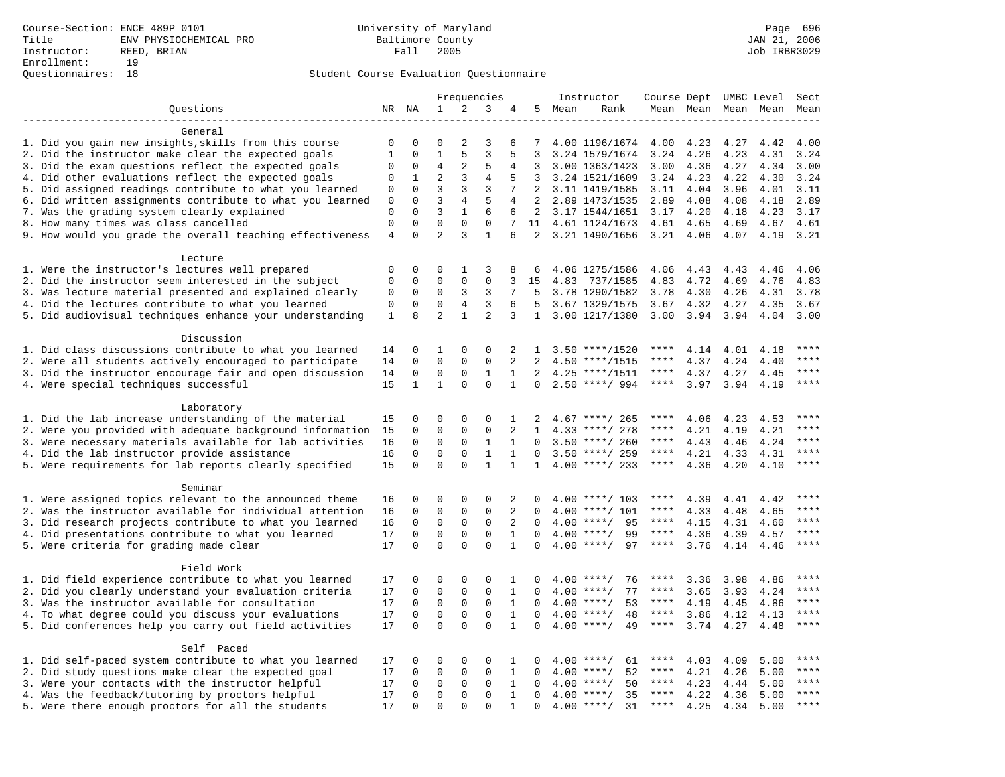### Student Course Evaluation Questionnaire

|                                                           |                |              |                         | Frequencies    |                         |              | Instructor     | Course Dept UMBC Level |                    |             |      | Sect                |           |             |
|-----------------------------------------------------------|----------------|--------------|-------------------------|----------------|-------------------------|--------------|----------------|------------------------|--------------------|-------------|------|---------------------|-----------|-------------|
| Questions                                                 |                | NR NA        | $\mathbf{1}$            | 2              | 3                       | 4            |                | 5 Mean                 | Rank               |             |      | Mean Mean Mean Mean |           | Mean        |
|                                                           |                |              |                         |                |                         |              |                |                        |                    |             |      |                     |           |             |
| General                                                   |                |              |                         |                |                         |              |                |                        |                    |             |      |                     |           |             |
| 1. Did you gain new insights, skills from this course     | 0              | $\Omega$     | $\Omega$                | 2              | 3                       | 6            | 7              |                        | 4.00 1196/1674     | 4.00        | 4.23 | 4.27                | 4.42      | 4.00        |
| 2. Did the instructor make clear the expected goals       | $\mathbf{1}$   | $\Omega$     | $\mathbf{1}$            | 5              | 3                       | 5            | 3              |                        | 3.24 1579/1674     | 3.24        | 4.26 | 4.23                | 4.31      | 3.24        |
| 3. Did the exam questions reflect the expected goals      | 0              | 0            | 4                       | 2              | 5                       | 4            | 3              |                        | 3.00 1363/1423     | 3.00        | 4.36 | 4.27                | 4.34      | 3.00        |
| 4. Did other evaluations reflect the expected goals       | $\Omega$       | $\mathbf 1$  | $\overline{a}$          | 3              | $\overline{4}$          | 5            | 3              |                        | 3.24 1521/1609     | 3.24        | 4.23 | 4.22                | 4.30      | 3.24        |
| 5. Did assigned readings contribute to what you learned   | $\mathbf 0$    | $\mathbf 0$  | 3                       | 3              | 3                       | 7            | 2              |                        | 3.11 1419/1585     | 3.11        | 4.04 | 3.96                | 4.01      | 3.11        |
| 6. Did written assignments contribute to what you learned | $\mathbf 0$    | $\mathbf 0$  | $\overline{3}$          | $\overline{4}$ | 5                       | 4            | $\overline{2}$ |                        | 2.89 1473/1535     | 2.89        | 4.08 | 4.08                | 4.18      | 2.89        |
| 7. Was the grading system clearly explained               | 0              | $\Omega$     | 3                       | $\mathbf{1}$   | 6                       | 6            | 2              |                        | 3.17 1544/1651     | 3.17        | 4.20 | 4.18                | 4.23      | 3.17        |
| 8. How many times was class cancelled                     | $\mathbf 0$    | $\Omega$     | $\Omega$                | $\mathbf 0$    | $\mathbf 0$             | 7            | 11             |                        | 4.61 1124/1673     | 4.61        | 4.65 | 4.69                | 4.67      | 4.61        |
| 9. How would you grade the overall teaching effectiveness | $\overline{4}$ | $\Omega$     | $\overline{a}$          | 3              | $\mathbf{1}$            | 6            |                |                        | 2 3.21 1490/1656   | 3.21        | 4.06 |                     | 4.07 4.19 | 3.21        |
| Lecture                                                   |                |              |                         |                |                         |              |                |                        |                    |             |      |                     |           |             |
| 1. Were the instructor's lectures well prepared           | 0              | $\mathbf 0$  | 0                       | 1              | 3                       | 8            | 6              |                        | 4.06 1275/1586     | 4.06        | 4.43 | 4.43                | 4.46      | 4.06        |
| 2. Did the instructor seem interested in the subject      | 0              | 0            | 0                       | 0              | 0                       | 3            | 15             | 4.83                   | 737/1585           | 4.83        | 4.72 | 4.69                | 4.76      | 4.83        |
| 3. Was lecture material presented and explained clearly   | 0              | $\mathbf 0$  | 0                       | 3              | 3                       | 7            | 5              |                        | 3.78 1290/1582     | 3.78        | 4.30 | 4.26                | 4.31      | 3.78        |
| 4. Did the lectures contribute to what you learned        | 0              | $\mathbf 0$  | 0                       | 4              | 3                       | 6            | 5              |                        | 3.67 1329/1575     | 3.67        | 4.32 | 4.27                | 4.35      | 3.67        |
| 5. Did audiovisual techniques enhance your understanding  | $\mathbf{1}$   | 8            | $\overline{a}$          | $\mathbf{1}$   | $\overline{a}$          | 3            | $\mathbf{1}$   |                        | 3.00 1217/1380     | 3.00        | 3.94 | 3.94                | 4.04      | 3.00        |
|                                                           |                |              |                         |                |                         |              |                |                        |                    |             |      |                     |           |             |
| Discussion                                                |                |              |                         |                |                         |              |                |                        |                    |             |      |                     |           |             |
| 1. Did class discussions contribute to what you learned   | 14             | 0            | 1                       | 0              | 0                       | 2            | 1              |                        | $3.50$ ****/1520   | ****        | 4.14 | 4.01                | 4.18      | ****        |
| 2. Were all students actively encouraged to participate   | 14             | 0            | $\mathbf 0$             | $\mathbf 0$    | $\mathbf 0$             | 2            | 2              |                        | $4.50$ ****/1515   | ****        | 4.37 | 4.24                | 4.40      | ****        |
| 3. Did the instructor encourage fair and open discussion  | 14             | 0            | 0                       | 0              | $\mathbf{1}$            | 1            | 2              |                        | $4.25$ ****/1511   | ****        | 4.37 | 4.27                | 4.45      | ****        |
| 4. Were special techniques successful                     | 15             | $\mathbf{1}$ | $\mathbf{1}$            | $\Omega$       | $\Omega$                | $\mathbf{1}$ | $\Omega$       |                        | $2.50$ ****/ 994   | $***$ * * * | 3.97 | 3.94                | 4.19      | $***$       |
|                                                           |                |              |                         |                |                         |              |                |                        |                    |             |      |                     |           |             |
| Laboratory                                                |                |              |                         |                |                         |              |                |                        |                    |             |      |                     |           |             |
| 1. Did the lab increase understanding of the material     | 15             | 0            | 0                       | $\mathbf 0$    | 0                       | $\mathbf 1$  | 2              |                        | $4.67$ ****/ 265   | ****        | 4.06 | 4.23                | 4.53      |             |
| 2. Were you provided with adequate background information | 15             | 0            | $\mathbf 0$             | $\mathbf{0}$   | $\mathbf 0$             | 2            | 1              |                        | 4.33 ****/ 278     | ****        | 4.21 | 4.19                | 4.21      | ****        |
| 3. Were necessary materials available for lab activities  | 16             | 0            | 0                       | 0              | 1                       | 1            | $\Omega$       |                        | $3.50$ ****/ 260   | ****        | 4.43 | 4.46                | 4.24      | ****        |
| 4. Did the lab instructor provide assistance              | 16             | $\Omega$     | $\mathbf 0$             | $\mathbf 0$    | $\mathbf{1}$            | $\mathbf{1}$ | $\Omega$       |                        | $3.50$ ****/ 259   | ****        | 4.21 | 4.33                | 4.31      | $***$       |
| 5. Were requirements for lab reports clearly specified    | 15             | $\Omega$     | $\Omega$                | $\Omega$       | $\mathbf{1}$            | $\mathbf{1}$ | $\mathbf{1}$   |                        | $4.00$ ****/ 233   | $***$ * * * | 4.36 | 4.20                | 4.10      | ****        |
|                                                           |                |              |                         |                |                         |              |                |                        |                    |             |      |                     |           |             |
| Seminar                                                   |                |              |                         |                |                         |              |                |                        |                    |             |      |                     |           |             |
| 1. Were assigned topics relevant to the announced theme   | 16             | 0            | 0                       | 0              | 0                       | 2            | 0              |                        | $4.00$ ****/ 103   | ****        | 4.39 | 4.41                | 4.42      | ****        |
| 2. Was the instructor available for individual attention  | 16             | 0            | $\mathbf 0$             | $\mathsf 0$    | $\mathbf 0$             | 2            | 0              |                        | 4.00 ****/ 101     | ****        | 4.33 | 4.48                | 4.65      | ****        |
| 3. Did research projects contribute to what you learned   | 16             | 0            | $\mathbf 0$             | $\mathbf 0$    | $\mathbf 0$             | 2            | $\Omega$       |                        | $4.00$ ****/<br>95 | ****        | 4.15 | 4.31                | 4.60      | $***$       |
| 4. Did presentations contribute to what you learned       | 17             | $\mathbf 0$  | $\mathbf 0$<br>$\Omega$ | $\mathbf 0$    | $\mathbf 0$<br>$\Omega$ | $\mathbf{1}$ | $\Omega$       |                        | $4.00$ ****/<br>99 | ****        | 4.36 | 4.39                | 4.57      | ****        |
| 5. Were criteria for grading made clear                   | 17             | $\Omega$     |                         | $\Omega$       |                         | $\mathbf{1}$ | $\Omega$       |                        | $4.00$ ****/<br>97 | ****        | 3.76 | 4.14                | 4.46      |             |
| Field Work                                                |                |              |                         |                |                         |              |                |                        |                    |             |      |                     |           |             |
| 1. Did field experience contribute to what you learned    | 17             | 0            | 0                       | 0              | 0                       | 1            | 0              |                        | $4.00$ ****/<br>76 | ****        | 3.36 | 3.98                | 4.86      |             |
| 2. Did you clearly understand your evaluation criteria    | 17             | 0            | $\mathbf 0$             | 0              | 0                       | 1            | $\Omega$       |                        | $4.00$ ****/<br>77 | ****        | 3.65 | 3.93                | 4.24      | ****        |
| 3. Was the instructor available for consultation          | 17             | 0            | $\mathbf 0$             | $\mathbf 0$    | $\mathbf 0$             | $\mathbf{1}$ | $\Omega$       |                        | $4.00$ ****/<br>53 | ****        | 4.19 | 4.45                | 4.86      | ****        |
| 4. To what degree could you discuss your evaluations      | 17             | $\mathbf 0$  | $\mathbf 0$             | $\mathbf 0$    | $\mathbf 0$             | 1            | $\Omega$       |                        | $4.00$ ****/<br>48 | $***$ * * * | 3.86 | 4.12                | 4.13      | $***$       |
| 5. Did conferences help you carry out field activities    | 17             | $\Omega$     | $\Omega$                | $\Omega$       | $\Omega$                | $\mathbf{1}$ | $\Omega$       |                        | $4.00$ ****/<br>49 | $***$ * * * | 3.74 | 4.27                | 4.48      | $***$       |
|                                                           |                |              |                         |                |                         |              |                |                        |                    |             |      |                     |           |             |
| Self Paced                                                |                |              |                         |                |                         |              |                |                        |                    |             |      |                     |           |             |
| 1. Did self-paced system contribute to what you learned   | 17             | 0            | 0                       | $\mathbf 0$    | $\mathbf 0$             | 1            | 0              |                        | $4.00$ ****/<br>61 | ****        | 4.03 | 4.09                | 5.00      | $***$       |
| 2. Did study questions make clear the expected goal       | 17             | 0            | $\mathbf 0$             | $\mathbf 0$    | $\mathbf 0$             | 1            | $\mathbf 0$    |                        | $4.00$ ****/<br>52 | $***$ * * * | 4.21 | 4.26                | 5.00      | ****        |
| 3. Were your contacts with the instructor helpful         | 17             | $\Omega$     | 0                       | 0              | 0                       | 1            | $\Omega$       | 4.00                   | $***/$<br>50       | ****        | 4.23 | 4.44                | 5.00      | $***$ * * * |
| 4. Was the feedback/tutoring by proctors helpful          | 17             | 0            | $\mathbf 0$             | $\mathbf{0}$   | $\mathbf 0$             | $\mathbf{1}$ | $\Omega$       |                        | 35<br>$4.00$ ****/ | ****        | 4.22 | 4.36                | 5.00      | ****        |
| 5. Were there enough proctors for all the students        | 17             | $\Omega$     | $\Omega$                | $\Omega$       | $\Omega$                | $\mathbf{1}$ | $\Omega$       |                        | $4.00$ ****/<br>31 | $***$ * * * | 4.25 | 4.34                | 5.00      | $***$       |
|                                                           |                |              |                         |                |                         |              |                |                        |                    |             |      |                     |           |             |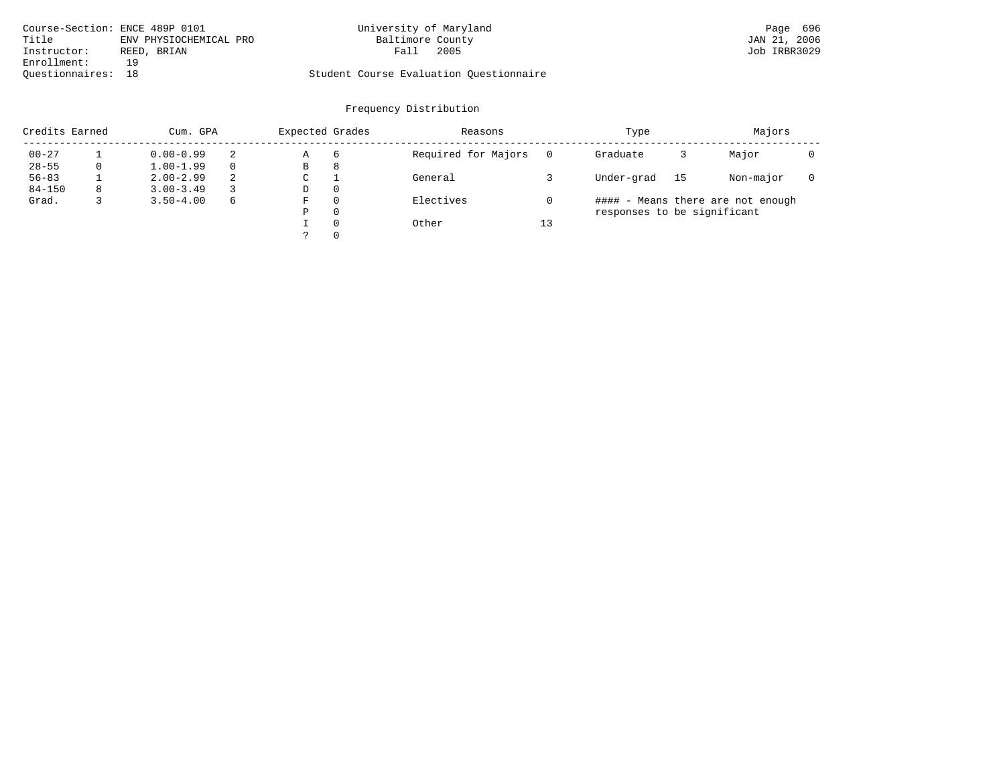| Course-Section: ENCE 489P 0101  | University of Maryland                  | Page 696     |
|---------------------------------|-----------------------------------------|--------------|
| Title<br>ENV PHYSIOCHEMICAL PRO | Baltimore County                        | JAN 21, 2006 |
| Instructor:<br>REED, BRIAN      | 2005<br>Fall                            | Job IRBR3029 |
| Enrollment:<br>1 Q              |                                         |              |
| Ouestionnaires: 18              | Student Course Evaluation Questionnaire |              |

# Frequency Distribution

| Credits Earned |   | Cum. GPA      | Expected Grades |    | Reasons  |                     | Type | Majors                            |    |           |  |  |  |
|----------------|---|---------------|-----------------|----|----------|---------------------|------|-----------------------------------|----|-----------|--|--|--|
| $00 - 27$      |   | $0.00 - 0.99$ | 2               | Α  | -6       | Required for Majors |      | Graduate                          |    | Major     |  |  |  |
| $28 - 55$      | 0 | $1.00 - 1.99$ | $\Omega$        | В  | 8        |                     |      |                                   |    |           |  |  |  |
| $56 - 83$      |   | $2.00 - 2.99$ | 2               | C  |          | General             |      | Under-grad                        | 15 | Non-major |  |  |  |
| $84 - 150$     | 8 | $3.00 - 3.49$ | 3               | D  | 0        |                     |      |                                   |    |           |  |  |  |
| Grad.          |   | $3.50 - 4.00$ | 6               | F. | 0        | Electives           |      | #### - Means there are not enough |    |           |  |  |  |
|                |   |               |                 | Ρ  | 0        |                     |      | responses to be significant       |    |           |  |  |  |
|                |   |               |                 |    | $\Omega$ | Other               | 13   |                                   |    |           |  |  |  |
|                |   |               |                 |    | 0        |                     |      |                                   |    |           |  |  |  |